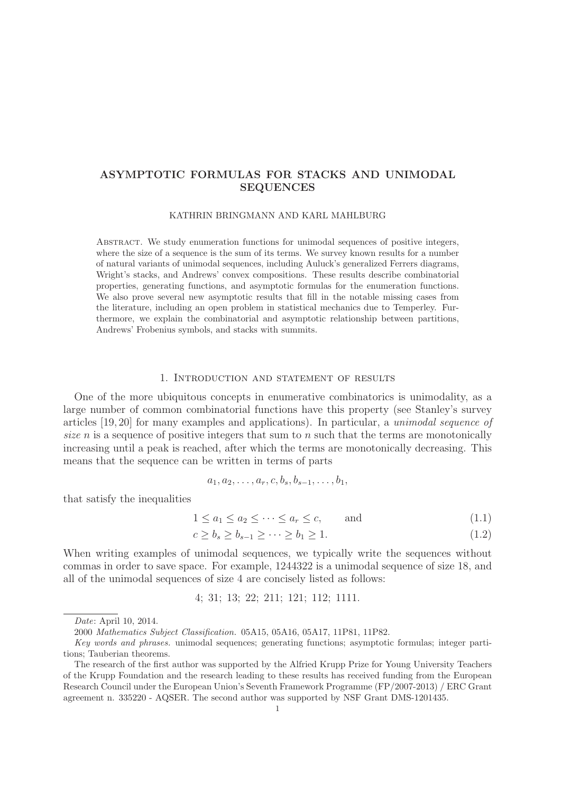# **ASYMPTOTIC FORMULAS FOR STACKS AND UNIMODAL SEQUENCES**

KATHRIN BRINGMANN AND KARL MAHLBURG

Abstract. We study enumeration functions for unimodal sequences of positive integers, where the size of a sequence is the sum of its terms. We survey known results for a number of natural variants of unimodal sequences, including Auluck's generalized Ferrers diagrams, Wright's stacks, and Andrews' convex compositions. These results describe combinatorial properties, generating functions, and asymptotic formulas for the enumeration functions. We also prove several new asymptotic results that fill in the notable missing cases from the literature, including an open problem in statistical mechanics due to Temperley. Furthermore, we explain the combinatorial and asymptotic relationship between partitions, Andrews' Frobenius symbols, and stacks with summits.

### 1. Introduction and statement of results

One of the more ubiquitous concepts in enumerative combinatorics is unimodality, as a large number of common combinatorial functions have this property (see Stanley's survey articles [19, 20] for many examples and applications). In particular, a unimodal sequence of size n is a sequence of positive integers that sum to n such that the terms are monotonically increasing until a peak is reached, after which the terms are monotonically decreasing. This means that the sequence can be written in terms of parts

$$
a_1, a_2, \ldots, a_r, c, b_s, b_{s-1}, \ldots, b_1,
$$

that satisfy the inequalities

$$
1 \le a_1 \le a_2 \le \dots \le a_r \le c, \qquad \text{and} \tag{1.1}
$$

$$
c \ge b_s \ge b_{s-1} \ge \cdots \ge b_1 \ge 1. \tag{1.2}
$$

When writing examples of unimodal sequences, we typically write the sequences without commas in order to save space. For example, 1244322 is a unimodal sequence of size 18, and all of the unimodal sequences of size 4 are concisely listed as follows:

4; 31; 13; 22; 211; 121; 112; 1111.

Date: April 10, 2014.

<sup>2000</sup> Mathematics Subject Classification. 05A15, 05A16, 05A17, 11P81, 11P82.

Key words and phrases. unimodal sequences; generating functions; asymptotic formulas; integer partitions; Tauberian theorems.

The research of the first author was supported by the Alfried Krupp Prize for Young University Teachers of the Krupp Foundation and the research leading to these results has received funding from the European Research Council under the European Union's Seventh Framework Programme (FP/2007-2013) / ERC Grant agreement n. 335220 - AQSER. The second author was supported by NSF Grant DMS-1201435.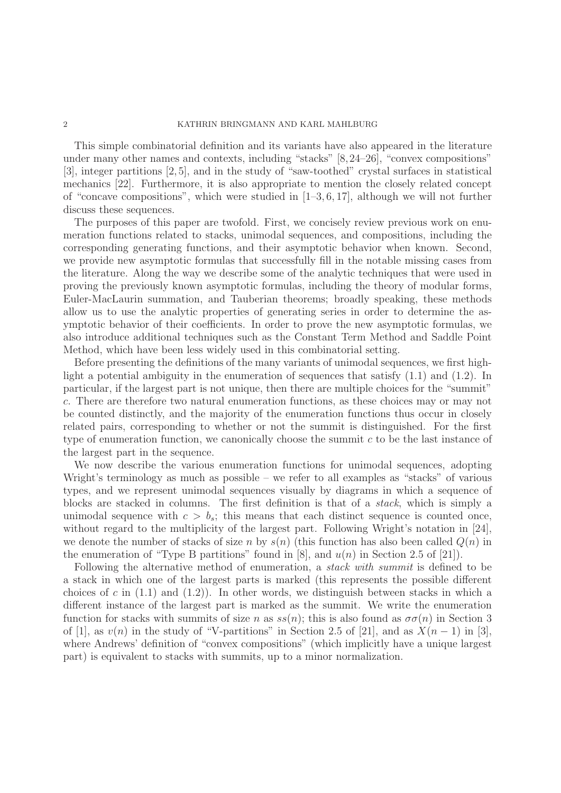This simple combinatorial definition and its variants have also appeared in the literature under many other names and contexts, including "stacks" [8,24–26], "convex compositions" [3], integer partitions [2, 5], and in the study of "saw-toothed" crystal surfaces in statistical mechanics [22]. Furthermore, it is also appropriate to mention the closely related concept of "concave compositions", which were studied in  $[1-3, 6, 17]$ , although we will not further discuss these sequences.

The purposes of this paper are twofold. First, we concisely review previous work on enumeration functions related to stacks, unimodal sequences, and compositions, including the corresponding generating functions, and their asymptotic behavior when known. Second, we provide new asymptotic formulas that successfully fill in the notable missing cases from the literature. Along the way we describe some of the analytic techniques that were used in proving the previously known asymptotic formulas, including the theory of modular forms, Euler-MacLaurin summation, and Tauberian theorems; broadly speaking, these methods allow us to use the analytic properties of generating series in order to determine the asymptotic behavior of their coefficients. In order to prove the new asymptotic formulas, we also introduce additional techniques such as the Constant Term Method and Saddle Point Method, which have been less widely used in this combinatorial setting.

Before presenting the definitions of the many variants of unimodal sequences, we first highlight a potential ambiguity in the enumeration of sequences that satisfy (1.1) and (1.2). In particular, if the largest part is not unique, then there are multiple choices for the "summit" c. There are therefore two natural enumeration functions, as these choices may or may not be counted distinctly, and the majority of the enumeration functions thus occur in closely related pairs, corresponding to whether or not the summit is distinguished. For the first type of enumeration function, we canonically choose the summit  $c$  to be the last instance of the largest part in the sequence.

We now describe the various enumeration functions for unimodal sequences, adopting Wright's terminology as much as possible – we refer to all examples as "stacks" of various types, and we represent unimodal sequences visually by diagrams in which a sequence of blocks are stacked in columns. The first definition is that of a stack, which is simply a unimodal sequence with  $c > b_s$ ; this means that each distinct sequence is counted once, without regard to the multiplicity of the largest part. Following Wright's notation in [24], we denote the number of stacks of size n by  $s(n)$  (this function has also been called  $Q(n)$  in the enumeration of "Type B partitions" found in  $[8]$ , and  $u(n)$  in Section 2.5 of  $[21]$ ).

Following the alternative method of enumeration, a *stack with summit* is defined to be a stack in which one of the largest parts is marked (this represents the possible different choices of c in  $(1.1)$  and  $(1.2)$ ). In other words, we distinguish between stacks in which a different instance of the largest part is marked as the summit. We write the enumeration function for stacks with summits of size n as  $ss(n)$ ; this is also found as  $\sigma\sigma(n)$  in Section 3 of [1], as  $v(n)$  in the study of "V-partitions" in Section 2.5 of [21], and as  $X(n-1)$  in [3], where Andrews' definition of "convex compositions" (which implicitly have a unique largest part) is equivalent to stacks with summits, up to a minor normalization.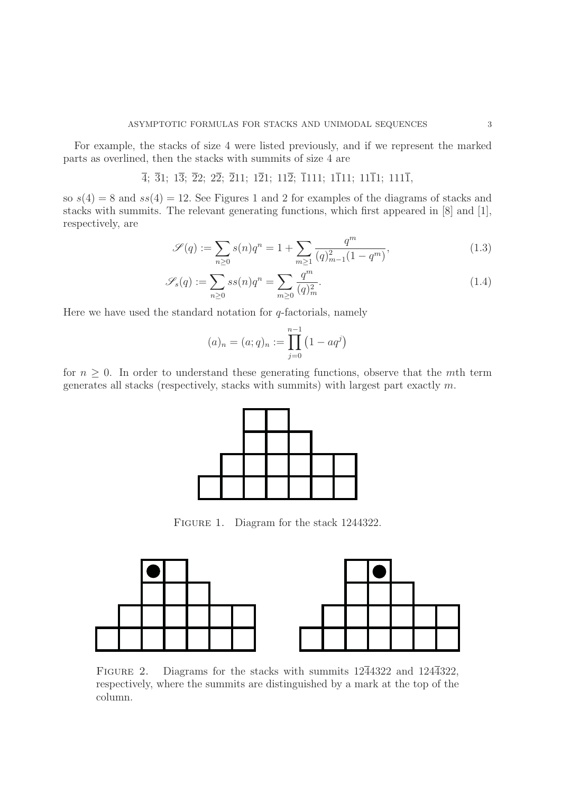For example, the stacks of size 4 were listed previously, and if we represent the marked parts as overlined, then the stacks with summits of size 4 are

 $\overline{4}$ ;  $\overline{3}1$ ;  $1\overline{3}$ ;  $\overline{2}2$ ;  $2\overline{2}$ ;  $\overline{2}11$ ;  $1\overline{2}1$ ;  $11\overline{2}$ ;  $\overline{1}111$ ;  $1\overline{1}11$ ;  $11\overline{1}1$ ;  $111\overline{1}$ ,

so  $s(4) = 8$  and  $ss(4) = 12$ . See Figures 1 and 2 for examples of the diagrams of stacks and stacks with summits. The relevant generating functions, which first appeared in [8] and [1], respectively, are

$$
\mathcal{S}(q) := \sum_{n\geq 0} s(n)q^n = 1 + \sum_{m\geq 1} \frac{q^m}{(q)_{m-1}^2 (1 - q^m)},
$$
\n(1.3)

$$
\mathscr{S}_s(q) := \sum_{n\geq 0} s s(n) q^n = \sum_{m\geq 0} \frac{q^m}{(q)_m^2}.
$$
\n(1.4)

Here we have used the standard notation for  $q$ -factorials, namely

$$
(a)_n = (a;q)_n := \prod_{j=0}^{n-1} (1 - aq^j)
$$

for  $n \geq 0$ . In order to understand these generating functions, observe that the *mth* term generates all stacks (respectively, stacks with summits) with largest part exactly m.



FIGURE 1. Diagram for the stack 1244322.



FIGURE 2. Diagrams for the stacks with summits  $12\overline{4}4322$  and  $124\overline{4}322$ , respectively, where the summits are distinguished by a mark at the top of the column.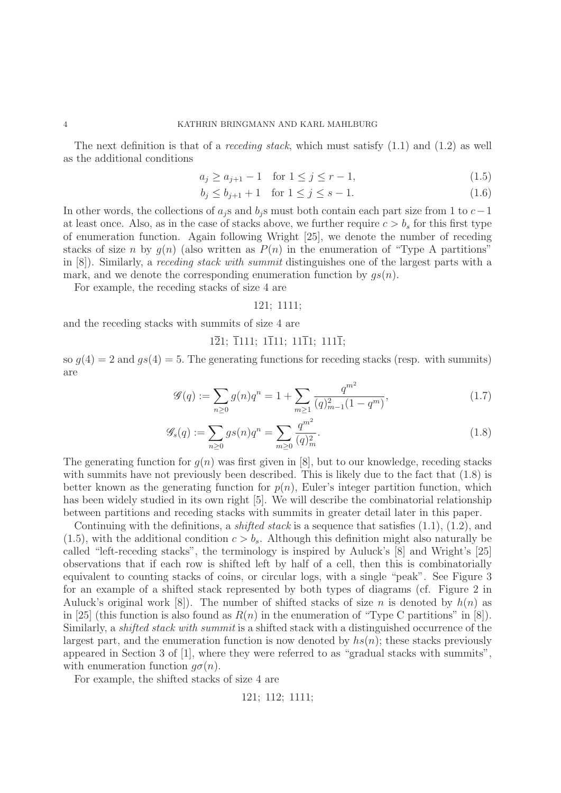### 4 KATHRIN BRINGMANN AND KARL MAHLBURG

The next definition is that of a *receding stack*, which must satisfy  $(1.1)$  and  $(1.2)$  as well as the additional conditions

$$
a_j \ge a_{j+1} - 1 \quad \text{for } 1 \le j \le r - 1,\tag{1.5}
$$

$$
b_j \le b_{j+1} + 1 \quad \text{for } 1 \le j \le s - 1. \tag{1.6}
$$

In other words, the collections of  $a_i$ s and  $b_i$ s must both contain each part size from 1 to  $c-1$ at least once. Also, as in the case of stacks above, we further require  $c > b_s$  for this first type of enumeration function. Again following Wright [25], we denote the number of receding stacks of size n by  $q(n)$  (also written as  $P(n)$  in the enumeration of "Type A partitions" in [8]). Similarly, a receding stack with summit distinguishes one of the largest parts with a mark, and we denote the corresponding enumeration function by  $as(n)$ .

For example, the receding stacks of size 4 are

### 121; 1111;

and the receding stacks with summits of size 4 are

# $1\overline{2}1$ ;  $\overline{1}111$ ;  $1\overline{1}11$ ;  $11\overline{1}$ ;  $111\overline{1}$ ;

so  $q(4) = 2$  and  $qs(4) = 5$ . The generating functions for receding stacks (resp. with summits) are

$$
\mathcal{G}(q) := \sum_{n\geq 0} g(n)q^n = 1 + \sum_{m\geq 1} \frac{q^{m^2}}{(q)_{m-1}^2 (1-q^m)},
$$
\n(1.7)

$$
\mathcal{G}_s(q) := \sum_{n \ge 0} g s(n) q^n = \sum_{m \ge 0} \frac{q^{m^2}}{(q)_m^2}.
$$
 (1.8)

The generating function for  $q(n)$  was first given in [8], but to our knowledge, receding stacks with summits have not previously been described. This is likely due to the fact that  $(1.8)$  is better known as the generating function for  $p(n)$ , Euler's integer partition function, which has been widely studied in its own right [5]. We will describe the combinatorial relationship between partitions and receding stacks with summits in greater detail later in this paper.

Continuing with the definitions, a *shifted stack* is a sequence that satisfies  $(1.1)$ ,  $(1.2)$ , and  $(1.5)$ , with the additional condition  $c > b_s$ . Although this definition might also naturally be called "left-receding stacks", the terminology is inspired by Auluck's [8] and Wright's [25] observations that if each row is shifted left by half of a cell, then this is combinatorially equivalent to counting stacks of coins, or circular logs, with a single "peak". See Figure 3 for an example of a shifted stack represented by both types of diagrams (cf. Figure 2 in Auluck's original work [8]). The number of shifted stacks of size n is denoted by  $h(n)$  as in [25] (this function is also found as  $R(n)$  in the enumeration of "Type C partitions" in [8]). Similarly, a *shifted stack with summit* is a shifted stack with a distinguished occurrence of the largest part, and the enumeration function is now denoted by  $hs(n)$ ; these stacks previously appeared in Section 3 of [1], where they were referred to as "gradual stacks with summits", with enumeration function  $q\sigma(n)$ .

For example, the shifted stacks of size 4 are

121; 112; 1111;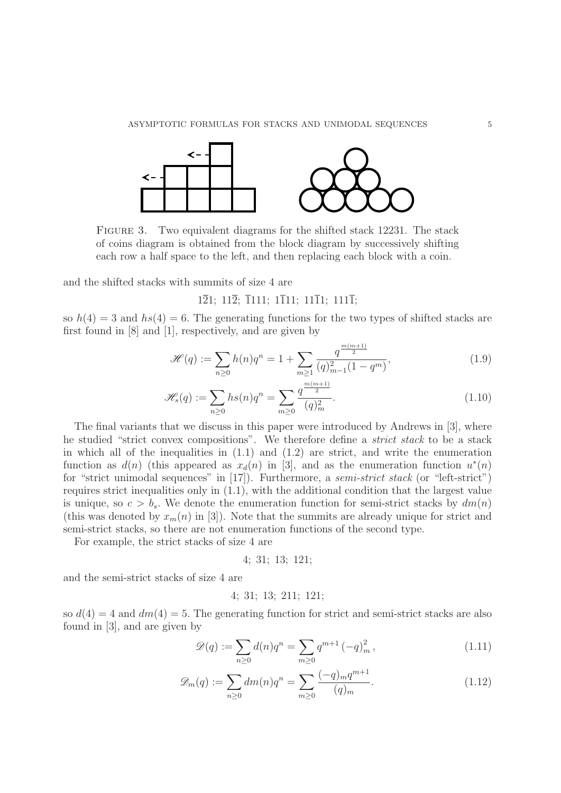

FIGURE 3. Two equivalent diagrams for the shifted stack 12231. The stack of coins diagram is obtained from the block diagram by successively shifting each row a half space to the left, and then replacing each block with a coin.

and the shifted stacks with summits of size 4 are

 $1\overline{2}1$ ;  $11\overline{2}$ ;  $\overline{1}111$ ;  $1\overline{1}11$ ;  $11\overline{1}1$ ;  $111\overline{1}$ ;

so  $h(4) = 3$  and  $hs(4) = 6$ . The generating functions for the two types of shifted stacks are first found in [8] and [1], respectively, and are given by

$$
\mathcal{H}(q) := \sum_{n\geq 0} h(n)q^n = 1 + \sum_{m\geq 1} \frac{q^{\frac{m(m+1)}{2}}}{(q)_{m-1}^2 (1-q^m)},
$$
(1.9)

$$
\mathcal{H}_s(q) := \sum_{n\geq 0} h s(n) q^n = \sum_{m\geq 0} \frac{q^{\frac{m(m+1)}{2}}}{(q)_m^2}.
$$
\n(1.10)

The final variants that we discuss in this paper were introduced by Andrews in [3], where he studied "strict convex compositions". We therefore define a strict stack to be a stack in which all of the inequalities in  $(1.1)$  and  $(1.2)$  are strict, and write the enumeration function as  $d(n)$  (this appeared as  $x_d(n)$  in [3], and as the enumeration function  $u^*(n)$ for "strict unimodal sequences" in [17]). Furthermore, a *semi-strict stack* (or "left-strict") requires strict inequalities only in (1.1), with the additional condition that the largest value is unique, so  $c > b_s$ . We denote the enumeration function for semi-strict stacks by  $dm(n)$ (this was denoted by  $x_m(n)$  in [3]). Note that the summits are already unique for strict and semi-strict stacks, so there are not enumeration functions of the second type.

For example, the strict stacks of size 4 are

$$
4; 31; 13; 121;
$$

and the semi-strict stacks of size 4 are

$$
4; 31; 13; 211; 121;
$$

so  $d(4) = 4$  and  $dm(4) = 5$ . The generating function for strict and semi-strict stacks are also found in [3], and are given by

$$
\mathscr{D}(q) := \sum_{n\geq 0} d(n)q^n = \sum_{m\geq 0} q^{m+1} (-q)_m^2, \qquad (1.11)
$$

$$
\mathcal{D}_m(q) := \sum_{n \ge 0} dm(n)q^n = \sum_{m \ge 0} \frac{(-q)_m q^{m+1}}{(q)_m}.
$$
\n(1.12)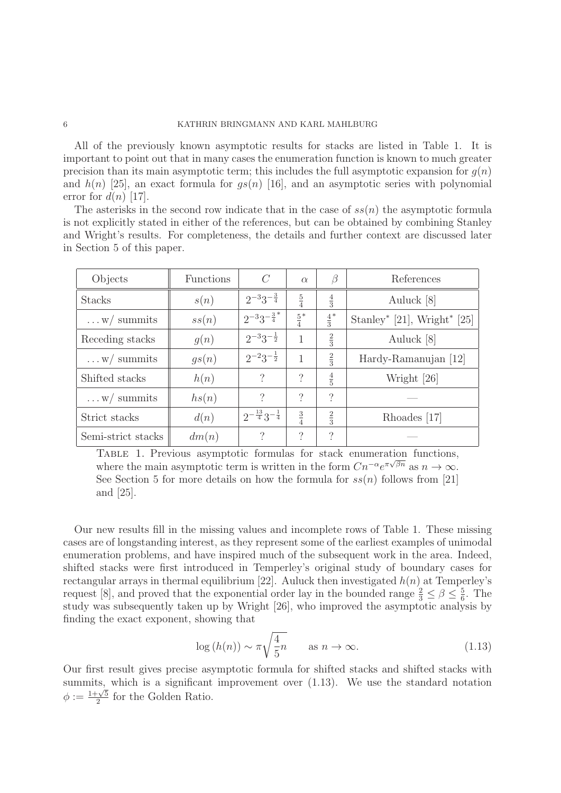All of the previously known asymptotic results for stacks are listed in Table 1. It is important to point out that in many cases the enumeration function is known to much greater precision than its main asymptotic term; this includes the full asymptotic expansion for  $q(n)$ and  $h(n)$  [25], an exact formula for  $qs(n)$  [16], and an asymptotic series with polynomial error for  $d(n)$  [17].

The asterisks in the second row indicate that in the case of  $ss(n)$  the asymptotic formula is not explicitly stated in either of the references, but can be obtained by combining Stanley and Wright's results. For completeness, the details and further context are discussed later in Section 5 of this paper.

| Objects            | <b>Functions</b> | $\mathcal{C}$                       | $\alpha$                 | β                  | References                  |
|--------------------|------------------|-------------------------------------|--------------------------|--------------------|-----------------------------|
| <b>Stacks</b>      | s(n)             | $2^{-3}3^{-\frac{3}{4}}$            | $\frac{5}{4}$            | $\frac{4}{3}$      | Auluck [8]                  |
| $\dots w/$ summits | ss(n)            | $2^{-3}3^{-\frac{3}{4}^*}$          | $rac{5}{4}$              | $\frac{4}{3}$ *    | Stanley* [21], Wright* [25] |
| Receding stacks    | g(n)             | $2^{-3}3^{-\frac{1}{2}}$            | 1                        | $\frac{2}{3}$      | Auluck [8]                  |
| $\dots w/$ summits | gs(n)            | $2^{-2}3^{-\frac{1}{2}}$            | 1                        | $\frac{2}{3}$      | Hardy-Ramanujan [12]        |
| Shifted stacks     | h(n)             | ?                                   | ?                        | $\frac{4}{5}$      | Wright [26]                 |
| $\dots w/$ summits | hs(n)            | $\overline{\mathcal{C}}$            | ?                        | $\overline{\cdot}$ |                             |
| Strict stacks      | d(n)             | $2^{-\frac{13}{4}}3^{-\frac{1}{4}}$ | $\frac{3}{4}$            | $\frac{2}{3}$      | Rhoades [17]                |
| Semi-strict stacks | dm(n)            | ?                                   | $\overline{\mathcal{C}}$ | $\overline{\cdot}$ |                             |

Table 1. Previous asymptotic formulas for stack enumeration functions, where the main asymptotic term is written in the form  $Cn^{-\alpha}e^{\pi\sqrt{\beta n}}$  as  $n \to \infty$ . See Section 5 for more details on how the formula for  $ss(n)$  follows from [21] and [25].

Our new results fill in the missing values and incomplete rows of Table 1. These missing cases are of longstanding interest, as they represent some of the earliest examples of unimodal enumeration problems, and have inspired much of the subsequent work in the area. Indeed, shifted stacks were first introduced in Temperley's original study of boundary cases for rectangular arrays in thermal equilibrium [22]. Auluck then investigated  $h(n)$  at Temperley's request [8], and proved that the exponential order lay in the bounded range  $\frac{2}{3} \leq \beta \leq \frac{5}{6}$ . The study was subsequently taken up by Wright [26], who improved the asymptotic analysis by study was subsequently taken up by Wright [26], who improved the asymptotic analysis by finding the exact exponent, showing that

$$
\log(h(n)) \sim \pi \sqrt{\frac{4}{5}n} \qquad \text{as } n \to \infty. \tag{1.13}
$$

Our first result gives precise asymptotic formula for shifted stacks and shifted stacks with summits, which is a significant improvement over  $(1.13)$ . We use the standard notation  $\phi := \frac{1+\sqrt{5}}{2}$  for the Golden Ratio.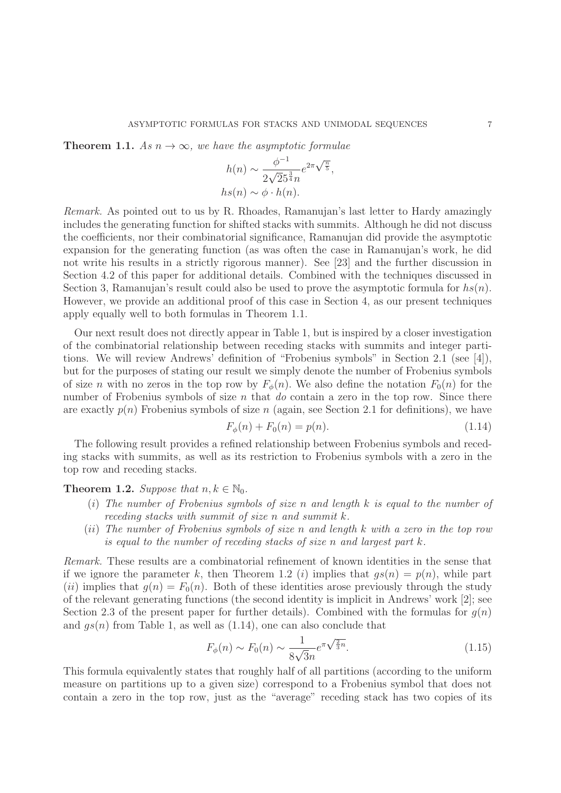**Theorem 1.1.** As  $n \to \infty$ , we have the asymptotic formulae

$$
h(n) \sim \frac{\phi^{-1}}{2\sqrt{25^{\frac{3}{4}}n}} e^{2\pi \sqrt{\frac{n}{5}}},
$$
  

$$
hs(n) \sim \phi \cdot h(n).
$$

Remark. As pointed out to us by R. Rhoades, Ramanujan's last letter to Hardy amazingly includes the generating function for shifted stacks with summits. Although he did not discuss the coefficients, nor their combinatorial significance, Ramanujan did provide the asymptotic expansion for the generating function (as was often the case in Ramanujan's work, he did not write his results in a strictly rigorous manner). See [23] and the further discussion in Section 4.2 of this paper for additional details. Combined with the techniques discussed in Section 3, Ramanujan's result could also be used to prove the asymptotic formula for  $hs(n)$ . However, we provide an additional proof of this case in Section 4, as our present techniques apply equally well to both formulas in Theorem 1.1.

Our next result does not directly appear in Table 1, but is inspired by a closer investigation of the combinatorial relationship between receding stacks with summits and integer partitions. We will review Andrews' definition of "Frobenius symbols" in Section 2.1 (see [4]), but for the purposes of stating our result we simply denote the number of Frobenius symbols of size n with no zeros in the top row by  $F_{\phi}(n)$ . We also define the notation  $F_0(n)$  for the number of Frobenius symbols of size n that do contain a zero in the top row. Since there are exactly  $p(n)$  Frobenius symbols of size n (again, see Section 2.1 for definitions), we have

$$
F_{\phi}(n) + F_0(n) = p(n). \tag{1.14}
$$

The following result provides a refined relationship between Frobenius symbols and receding stacks with summits, as well as its restriction to Frobenius symbols with a zero in the top row and receding stacks.

**Theorem 1.2.** Suppose that  $n, k \in \mathbb{N}_0$ .

- (i) The number of Frobenius symbols of size n and length k is equal to the number of receding stacks with summit of size n and summit k.
- (ii) The number of Frobenius symbols of size n and length k with a zero in the top row is equal to the number of receding stacks of size n and largest part k.

Remark. These results are a combinatorial refinement of known identities in the sense that if we ignore the parameter k, then Theorem 1.2 (i) implies that  $qs(n) = p(n)$ , while part (ii) implies that  $q(n) = F_0(n)$ . Both of these identities arose previously through the study of the relevant generating functions (the second identity is implicit in Andrews' work [2]; see Section 2.3 of the present paper for further details). Combined with the formulas for  $q(n)$ and  $qs(n)$  from Table 1, as well as  $(1.14)$ , one can also conclude that

$$
F_{\phi}(n) \sim F_0(n) \sim \frac{1}{8\sqrt{3}n} e^{\pi \sqrt{\frac{2}{3}n}}.
$$
\n(1.15)

This formula equivalently states that roughly half of all partitions (according to the uniform measure on partitions up to a given size) correspond to a Frobenius symbol that does not contain a zero in the top row, just as the "average" receding stack has two copies of its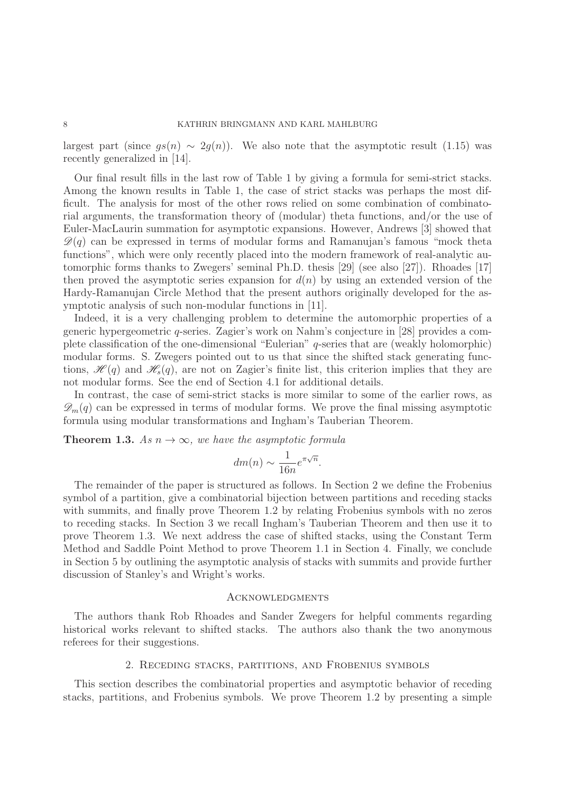largest part (since  $gs(n) \sim 2g(n)$ ). We also note that the asymptotic result (1.15) was recently generalized in [14].

Our final result fills in the last row of Table 1 by giving a formula for semi-strict stacks. Among the known results in Table 1, the case of strict stacks was perhaps the most difficult. The analysis for most of the other rows relied on some combination of combinatorial arguments, the transformation theory of (modular) theta functions, and/or the use of Euler-MacLaurin summation for asymptotic expansions. However, Andrews [3] showed that  $\mathscr{D}(q)$  can be expressed in terms of modular forms and Ramanujan's famous "mock theta functions", which were only recently placed into the modern framework of real-analytic automorphic forms thanks to Zwegers' seminal Ph.D. thesis [29] (see also [27]). Rhoades [17] then proved the asymptotic series expansion for  $d(n)$  by using an extended version of the Hardy-Ramanujan Circle Method that the present authors originally developed for the asymptotic analysis of such non-modular functions in [11].

Indeed, it is a very challenging problem to determine the automorphic properties of a generic hypergeometric q-series. Zagier's work on Nahm's conjecture in [28] provides a complete classification of the one-dimensional "Eulerian" q-series that are (weakly holomorphic) modular forms. S. Zwegers pointed out to us that since the shifted stack generating functions,  $\mathscr{H}(q)$  and  $\mathscr{H}_s(q)$ , are not on Zagier's finite list, this criterion implies that they are not modular forms. See the end of Section 4.1 for additional details.

In contrast, the case of semi-strict stacks is more similar to some of the earlier rows, as  $\mathscr{D}_m(q)$  can be expressed in terms of modular forms. We prove the final missing asymptotic formula using modular transformations and Ingham's Tauberian Theorem.

**Theorem 1.3.** As  $n \to \infty$ , we have the asymptotic formula

$$
dm(n) \sim \frac{1}{16n} e^{\pi\sqrt{n}}.
$$

The remainder of the paper is structured as follows. In Section 2 we define the Frobenius symbol of a partition, give a combinatorial bijection between partitions and receding stacks with summits, and finally prove Theorem 1.2 by relating Frobenius symbols with no zeros to receding stacks. In Section 3 we recall Ingham's Tauberian Theorem and then use it to prove Theorem 1.3. We next address the case of shifted stacks, using the Constant Term Method and Saddle Point Method to prove Theorem 1.1 in Section 4. Finally, we conclude in Section 5 by outlining the asymptotic analysis of stacks with summits and provide further discussion of Stanley's and Wright's works.

## **ACKNOWLEDGMENTS**

The authors thank Rob Rhoades and Sander Zwegers for helpful comments regarding historical works relevant to shifted stacks. The authors also thank the two anonymous referees for their suggestions.

## 2. Receding stacks, partitions, and Frobenius symbols

This section describes the combinatorial properties and asymptotic behavior of receding stacks, partitions, and Frobenius symbols. We prove Theorem 1.2 by presenting a simple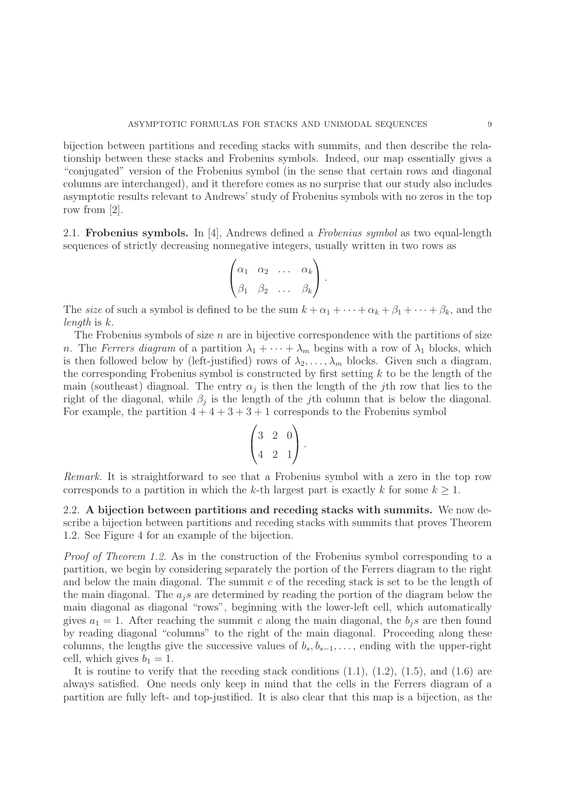bijection between partitions and receding stacks with summits, and then describe the relationship between these stacks and Frobenius symbols. Indeed, our map essentially gives a "conjugated" version of the Frobenius symbol (in the sense that certain rows and diagonal columns are interchanged), and it therefore comes as no surprise that our study also includes asymptotic results relevant to Andrews' study of Frobenius symbols with no zeros in the top row from [2].

2.1. **Frobenius symbols.** In [4], Andrews defined a Frobenius symbol as two equal-length sequences of strictly decreasing nonnegative integers, usually written in two rows as

$$
\begin{pmatrix} \alpha_1 & \alpha_2 & \dots & \alpha_k \\ \beta_1 & \beta_2 & \dots & \beta_k \end{pmatrix}.
$$

The *size* of such a symbol is defined to be the sum  $k + \alpha_1 + \cdots + \alpha_k + \beta_1 + \cdots + \beta_k$ , and the length is k.

The Frobenius symbols of size  $n$  are in bijective correspondence with the partitions of size n. The Ferrers diagram of a partition  $\lambda_1 + \cdots + \lambda_m$  begins with a row of  $\lambda_1$  blocks, which is then followed below by (left-justified) rows of  $\lambda_2, \ldots, \lambda_m$  blocks. Given such a diagram, the corresponding Frobenius symbol is constructed by first setting  $k$  to be the length of the main (southeast) diagnoal. The entry  $\alpha_i$  is then the length of the jth row that lies to the right of the diagonal, while  $\beta_j$  is the length of the jth column that is below the diagonal. For example, the partition  $4+4+3+3+1$  corresponds to the Frobenius symbol

$$
\begin{pmatrix} 3 & 2 & 0 \\ 4 & 2 & 1 \end{pmatrix}.
$$

Remark. It is straightforward to see that a Frobenius symbol with a zero in the top row corresponds to a partition in which the k-th largest part is exactly k for some  $k \geq 1$ .

2.2. **A bijection between partitions and receding stacks with summits.** We now describe a bijection between partitions and receding stacks with summits that proves Theorem 1.2. See Figure 4 for an example of the bijection.

Proof of Theorem 1.2. As in the construction of the Frobenius symbol corresponding to a partition, we begin by considering separately the portion of the Ferrers diagram to the right and below the main diagonal. The summit  $c$  of the receding stack is set to be the length of the main diagonal. The  $a_i$ s are determined by reading the portion of the diagram below the main diagonal as diagonal "rows", beginning with the lower-left cell, which automatically gives  $a_1 = 1$ . After reaching the summit c along the main diagonal, the  $b_i s$  are then found by reading diagonal "columns" to the right of the main diagonal. Proceeding along these columns, the lengths give the successive values of  $b_s, b_{s-1}, \ldots$ , ending with the upper-right cell, which gives  $b_1 = 1$ .

It is routine to verify that the receding stack conditions  $(1.1)$ ,  $(1.2)$ ,  $(1.5)$ , and  $(1.6)$  are always satisfied. One needs only keep in mind that the cells in the Ferrers diagram of a partition are fully left- and top-justified. It is also clear that this map is a bijection, as the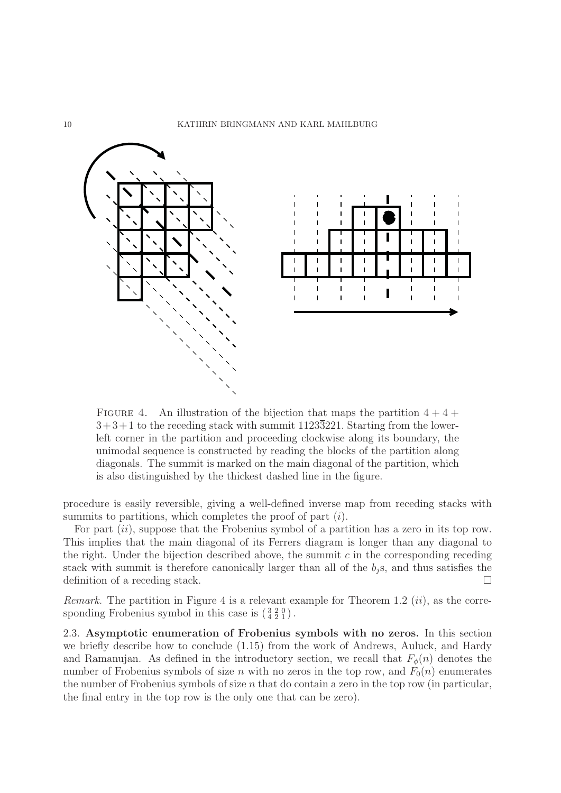



FIGURE 4. An illustration of the bijection that maps the partition  $4+4+$  $3+3+1$  to the receding stack with summit 11233221. Starting from the lowerleft corner in the partition and proceeding clockwise along its boundary, the unimodal sequence is constructed by reading the blocks of the partition along diagonals. The summit is marked on the main diagonal of the partition, which is also distinguished by the thickest dashed line in the figure.

procedure is easily reversible, giving a well-defined inverse map from receding stacks with summits to partitions, which completes the proof of part  $(i)$ .

For part *(ii)*, suppose that the Frobenius symbol of a partition has a zero in its top row. This implies that the main diagonal of its Ferrers diagram is longer than any diagonal to the right. Under the bijection described above, the summit  $c$  in the corresponding receding stack with summit is therefore canonically larger than all of the  $b_i$ s, and thus satisfies the definition of a receding stack.  $\Box$ 

Remark. The partition in Figure 4 is a relevant example for Theorem 1.2  $(ii)$ , as the corresponding Frobenius symbol in this case is  $\left(\begin{smallmatrix} 3 & 2 & 0 \\ 4 & 2 & 1 \end{smallmatrix}\right)$ .

2.3. **Asymptotic enumeration of Frobenius symbols with no zeros.** In this section we briefly describe how to conclude (1.15) from the work of Andrews, Auluck, and Hardy and Ramanujan. As defined in the introductory section, we recall that  $F_{\phi}(n)$  denotes the number of Frobenius symbols of size n with no zeros in the top row, and  $F_0(n)$  enumerates the number of Frobenius symbols of size  $n$  that do contain a zero in the top row (in particular, the final entry in the top row is the only one that can be zero).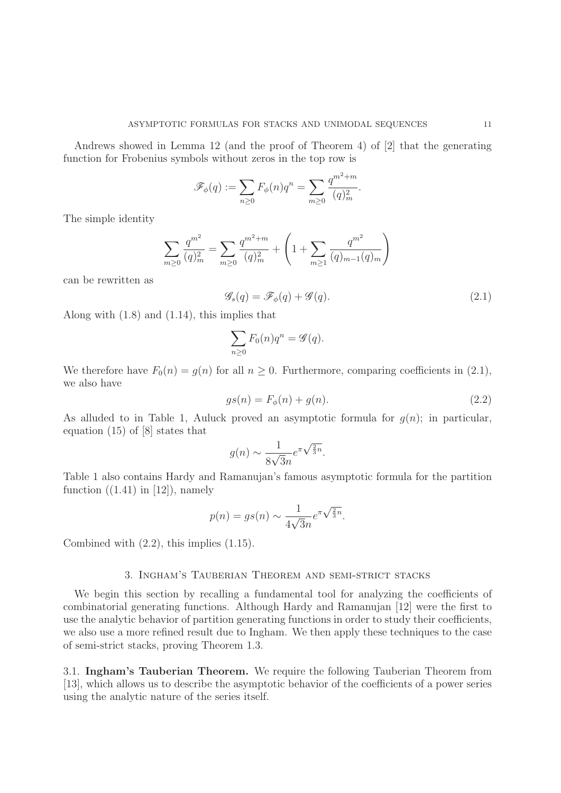Andrews showed in Lemma 12 (and the proof of Theorem 4) of [2] that the generating function for Frobenius symbols without zeros in the top row is

$$
\mathscr{F}_{\phi}(q) := \sum_{n\geq 0} F_{\phi}(n)q^n = \sum_{m\geq 0} \frac{q^{m^2+m}}{(q)_m^2}.
$$

The simple identity

$$
\sum_{m\geq 0} \frac{q^{m^2}}{(q)_m^2} = \sum_{m\geq 0} \frac{q^{m^2+m}}{(q)_m^2} + \left(1 + \sum_{m\geq 1} \frac{q^{m^2}}{(q)_{m-1}(q)_m}\right)
$$

can be rewritten as

$$
\mathcal{G}_s(q) = \mathcal{F}_\phi(q) + \mathcal{G}(q). \tag{2.1}
$$

Along with (1.8) and (1.14), this implies that

$$
\sum_{n\geq 0} F_0(n)q^n = \mathscr{G}(q).
$$

We therefore have  $F_0(n) = g(n)$  for all  $n \ge 0$ . Furthermore, comparing coefficients in (2.1), we also have

$$
gs(n) = F_{\phi}(n) + g(n).
$$
 (2.2)

As alluded to in Table 1, Auluck proved an asymptotic formula for  $g(n)$ ; in particular, equation (15) of [8] states that

$$
g(n) \sim \frac{1}{8\sqrt{3}n} e^{\pi\sqrt{\frac{2}{3}n}}.
$$

Table 1 also contains Hardy and Ramanujan's famous asymptotic formula for the partition function  $((1.41)$  in [12]), namely

$$
p(n) = gs(n) \sim \frac{1}{4\sqrt{3n}} e^{\pi\sqrt{\frac{2}{3}n}}.
$$

Combined with (2.2), this implies (1.15).

# 3. Ingham's Tauberian Theorem and semi-strict stacks

We begin this section by recalling a fundamental tool for analyzing the coefficients of combinatorial generating functions. Although Hardy and Ramanujan [12] were the first to use the analytic behavior of partition generating functions in order to study their coefficients, we also use a more refined result due to Ingham. We then apply these techniques to the case of semi-strict stacks, proving Theorem 1.3.

3.1. **Ingham's Tauberian Theorem.** We require the following Tauberian Theorem from [13], which allows us to describe the asymptotic behavior of the coefficients of a power series using the analytic nature of the series itself.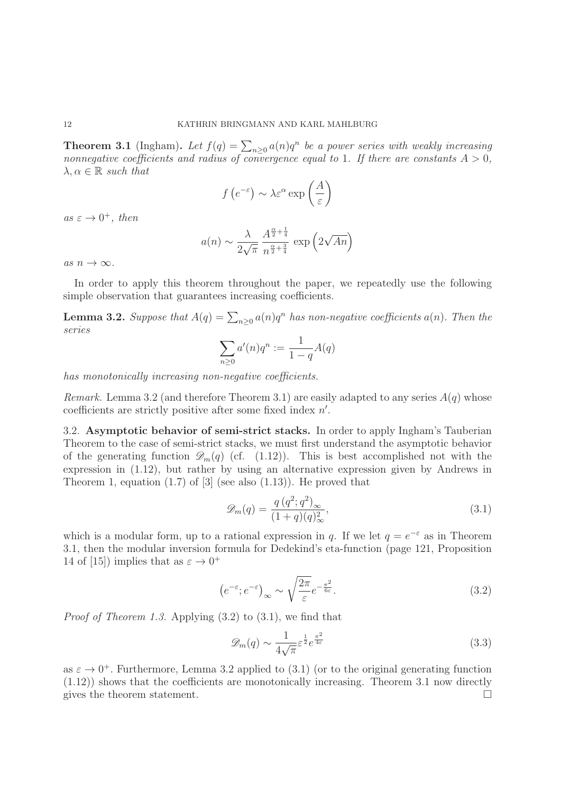**Theorem 3.1** (Ingham). Let  $f(q) = \sum_{n\geq 0} a(n)q^n$  be a power series with weakly increasing nonnegative coefficients and radius of convergence equal to 1. If there are constants  $4 > 0$ nonnegative coefficients and radius of convergence equal to 1. If there are constants  $A > 0$ ,  $\lambda, \alpha \in \mathbb{R}$  such that

$$
f\left(e^{-\varepsilon}\right) \sim \lambda \varepsilon^{\alpha} \exp\left(\frac{A}{\varepsilon}\right)
$$

as  $\varepsilon \to 0^+$ , then

$$
a(n) \sim \frac{\lambda}{2\sqrt{\pi}} \frac{A^{\frac{\alpha}{2} + \frac{1}{4}}}{n^{\frac{\alpha}{2} + \frac{3}{4}}} \exp\left(2\sqrt{An}\right)
$$

as  $n \to \infty$ .

In order to apply this theorem throughout the paper, we repeatedly use the following simple observation that guarantees increasing coefficients.

**Lemma 3.2.** Suppose that  $A(q) = \sum_{n\geq 0} a(n)q^n$  has non-negative coefficients  $a(n)$ . Then the series

$$
\sum_{n\geq 0} a'(n)q^n := \frac{1}{1-q}A(q)
$$

has monotonically increasing non-negative coefficients.

*Remark.* Lemma 3.2 (and therefore Theorem 3.1) are easily adapted to any series  $A(q)$  whose coefficients are strictly positive after some fixed index n .

3.2. **Asymptotic behavior of semi-strict stacks.** In order to apply Ingham's Tauberian Theorem to the case of semi-strict stacks, we must first understand the asymptotic behavior of the generating function  $\mathscr{D}_m(q)$  (cf. (1.12)). This is best accomplished not with the expression in (1.12), but rather by using an alternative expression given by Andrews in Theorem 1, equation  $(1.7)$  of  $[3]$  (see also  $(1.13)$ ). He proved that

$$
\mathcal{D}_m(q) = \frac{q\left(q^2; q^2\right)_{\infty}}{(1+q)(q)_{\infty}^2},\tag{3.1}
$$

which is a modular form, up to a rational expression in q. If we let  $q = e^{-\epsilon}$  as in Theorem 3.1, then the modular inversion formula for Dedekind's eta-function (page 121, Proposition 14 of [15]) implies that as  $\varepsilon \to 0^+$ 

$$
\left(e^{-\varepsilon}; e^{-\varepsilon}\right)_{\infty} \sim \sqrt{\frac{2\pi}{\varepsilon}} e^{-\frac{\pi^2}{6\varepsilon}}.\tag{3.2}
$$

*Proof of Theorem 1.3.* Applying  $(3.2)$  to  $(3.1)$ , we find that

$$
\mathscr{D}_m(q) \sim \frac{1}{4\sqrt{\pi}} \varepsilon^{\frac{1}{2}} e^{\frac{\pi^2}{4\varepsilon}} \tag{3.3}
$$

as  $\varepsilon \to 0^+$ . Furthermore, Lemma 3.2 applied to (3.1) (or to the original generating function  $(1.12)$ ) shows that the coefficients are monotonically increasing. Theorem 3.1 now directly gives the theorem statement.  $\Box$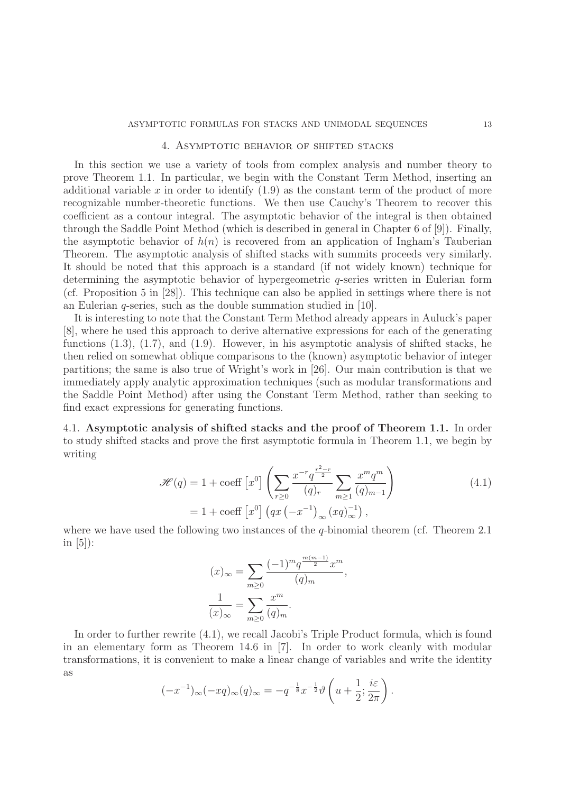### 4. Asymptotic behavior of shifted stacks

In this section we use a variety of tools from complex analysis and number theory to prove Theorem 1.1. In particular, we begin with the Constant Term Method, inserting an additional variable x in order to identify  $(1.9)$  as the constant term of the product of more recognizable number-theoretic functions. We then use Cauchy's Theorem to recover this coefficient as a contour integral. The asymptotic behavior of the integral is then obtained through the Saddle Point Method (which is described in general in Chapter 6 of [9]). Finally, the asymptotic behavior of  $h(n)$  is recovered from an application of Ingham's Tauberian Theorem. The asymptotic analysis of shifted stacks with summits proceeds very similarly. It should be noted that this approach is a standard (if not widely known) technique for determining the asymptotic behavior of hypergeometric q-series written in Eulerian form (cf. Proposition 5 in [28]). This technique can also be applied in settings where there is not an Eulerian q-series, such as the double summation studied in [10].

It is interesting to note that the Constant Term Method already appears in Auluck's paper [8], where he used this approach to derive alternative expressions for each of the generating functions (1.3), (1.7), and (1.9). However, in his asymptotic analysis of shifted stacks, he then relied on somewhat oblique comparisons to the (known) asymptotic behavior of integer partitions; the same is also true of Wright's work in [26]. Our main contribution is that we immediately apply analytic approximation techniques (such as modular transformations and the Saddle Point Method) after using the Constant Term Method, rather than seeking to find exact expressions for generating functions.

4.1. **Asymptotic analysis of shifted stacks and the proof of Theorem 1.1.** In order to study shifted stacks and prove the first asymptotic formula in Theorem 1.1, we begin by writing

$$
\mathcal{H}(q) = 1 + \text{coeff} \left[ x^0 \right] \left( \sum_{r \ge 0} \frac{x^{-r} q^{\frac{r^2 - r}{2}}}{(q)_r} \sum_{m \ge 1} \frac{x^m q^m}{(q)_{m-1}} \right)
$$
\n
$$
= 1 + \text{coeff} \left[ x^0 \right] \left( qx \left( -x^{-1} \right)_\infty \left( xq \right)_\infty^{-1} \right), \tag{4.1}
$$

where we have used the following two instances of the  $q$ -binomial theorem (cf. Theorem 2.1) in  $|5|$ :

$$
(x)_{\infty} = \sum_{m \ge 0} \frac{(-1)^m q^{\frac{m(m-1)}{2}} x^m}{(q)_m},
$$

$$
\frac{1}{(x)_{\infty}} = \sum_{m \ge 0} \frac{x^m}{(q)_m}.
$$

In order to further rewrite (4.1), we recall Jacobi's Triple Product formula, which is found in an elementary form as Theorem 14.6 in [7]. In order to work cleanly with modular transformations, it is convenient to make a linear change of variables and write the identity as

$$
(-x^{-1})_{\infty}(-xq)_{\infty}(q)_{\infty} = -q^{-\frac{1}{8}}x^{-\frac{1}{2}}\vartheta\left(u+\frac{1}{2};\frac{i\varepsilon}{2\pi}\right).
$$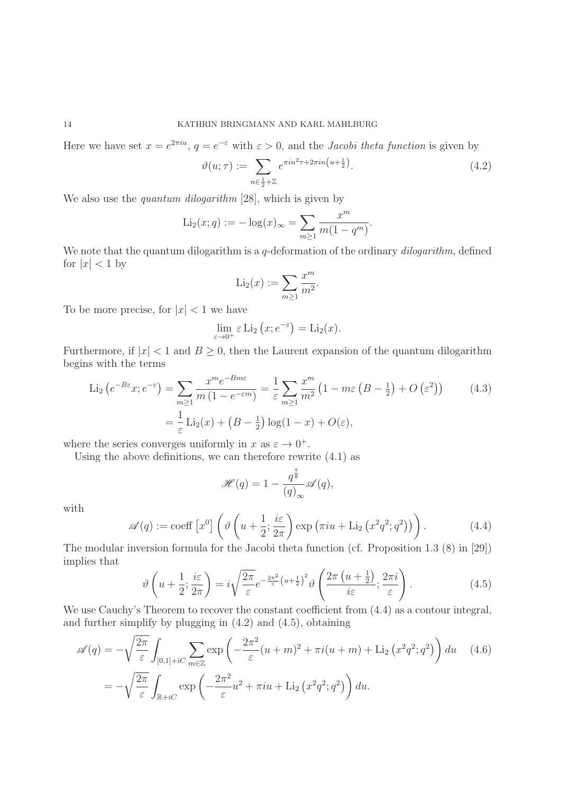Here we have set  $x = e^{2\pi i u}$ ,  $q = e^{-\varepsilon}$  with  $\varepsilon > 0$ , and the *Jacobi theta function* is given by

$$
\vartheta(u;\tau) := \sum_{n \in \frac{1}{2} + \mathbb{Z}} e^{\pi i n^2 \tau + 2\pi i n \left(u + \frac{1}{2}\right)}.
$$
\n(4.2)

We also use the *quantum dilogarithm* [28], which is given by

$$
\text{Li}_2(x; q) := -\log(x)_{\infty} = \sum_{m \ge 1} \frac{x^m}{m(1 - q^m)}.
$$

We note that the quantum dilogarithm is a  $q$ -deformation of the ordinary *dilogarithm*, defined for  $|x| < 1$  by

$$
\mathrm{Li}_2(x) := \sum_{m \geq 1} \frac{x^m}{m^2}.
$$

To be more precise, for  $|x| < 1$  we have

$$
\lim_{\varepsilon \to 0^+} \varepsilon \, \mathrm{Li}_2 \left( x; e^{-\varepsilon} \right) = \mathrm{Li}_2(x).
$$

Furthermore, if  $|x| < 1$  and  $B \geq 0$ , then the Laurent expansion of the quantum dilogarithm begins with the terms

$$
\text{Li}_2\left(e^{-B\varepsilon}x; e^{-\varepsilon}\right) = \sum_{m\geq 1} \frac{x^m e^{-Bm\varepsilon}}{m\left(1 - e^{-\varepsilon m}\right)} = \frac{1}{\varepsilon} \sum_{m\geq 1} \frac{x^m}{m^2} \left(1 - m\varepsilon \left(B - \frac{1}{2}\right) + O\left(\varepsilon^2\right)\right) \tag{4.3}
$$
\n
$$
= \frac{1}{\varepsilon} \text{Li}_2(x) + \left(B - \frac{1}{2}\right) \log(1 - x) + O(\varepsilon),
$$

where the series converges uniformly in x as  $\varepsilon \to 0^+$ .

Using the above definitions, we can therefore rewrite (4.1) as

$$
\mathscr{H}(q) = 1 - \frac{q^{\frac{7}{8}}}{(q)_{\infty}} \mathscr{A}(q),
$$

with

$$
\mathscr{A}(q) := \text{coeff} \left[ x^0 \right] \left( \vartheta \left( u + \frac{1}{2}; \frac{i \varepsilon}{2\pi} \right) \exp \left( \pi i u + \text{Li}_2 \left( x^2 q^2; q^2 \right) \right) \right). \tag{4.4}
$$

The modular inversion formula for the Jacobi theta function (cf. Proposition 1.3 (8) in [29]) implies that

$$
\vartheta\left(u+\frac{1}{2};\frac{i\varepsilon}{2\pi}\right)=i\sqrt{\frac{2\pi}{\varepsilon}}e^{-\frac{2\pi^2}{\varepsilon}\left(u+\frac{1}{2}\right)^2}\vartheta\left(\frac{2\pi\left(u+\frac{1}{2}\right)}{i\varepsilon};\frac{2\pi i}{\varepsilon}\right).
$$
\n(4.5)

We use Cauchy's Theorem to recover the constant coefficient from  $(4.4)$  as a contour integral, and further simplify by plugging in (4.2) and (4.5), obtaining

$$
\mathscr{A}(q) = -\sqrt{\frac{2\pi}{\varepsilon}} \int_{[0,1]+iC} \sum_{m\in\mathbb{Z}} \exp\left(-\frac{2\pi^2}{\varepsilon}(u+m)^2 + \pi i(u+m) + \text{Li}_2\left(x^2 q^2; q^2\right)\right) du \quad (4.6)
$$

$$
= -\sqrt{\frac{2\pi}{\varepsilon}} \int_{\mathbb{R}+iC} \exp\left(-\frac{2\pi^2}{\varepsilon}u^2 + \pi i u + \text{Li}_2\left(x^2 q^2; q^2\right)\right) du.
$$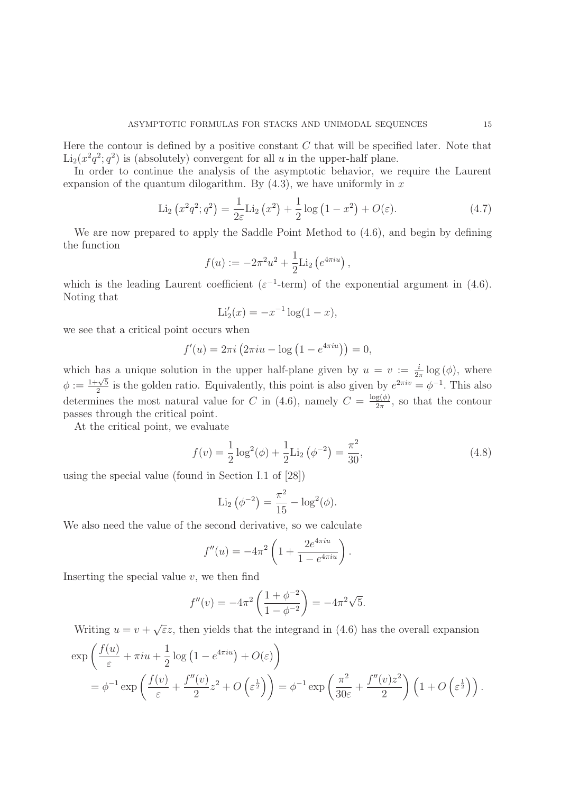Here the contour is defined by a positive constant  $C$  that will be specified later. Note that  $Li_2(x^2q^2; q^2)$  is (absolutely) convergent for all u in the upper-half plane.

In order to continue the analysis of the asymptotic behavior, we require the Laurent expansion of the quantum dilogarithm. By  $(4.3)$ , we have uniformly in x

$$
\text{Li}_2\left(x^2q^2; q^2\right) = \frac{1}{2\varepsilon} \text{Li}_2\left(x^2\right) + \frac{1}{2}\log\left(1 - x^2\right) + O(\varepsilon). \tag{4.7}
$$

We are now prepared to apply the Saddle Point Method to  $(4.6)$ , and begin by defining the function

$$
f(u) := -2\pi^2 u^2 + \frac{1}{2} \text{Li}_2\left(e^{4\pi i u}\right),
$$

which is the leading Laurent coefficient ( $\varepsilon^{-1}$ -term) of the exponential argument in (4.6). Noting that

$$
Li_2'(x) = -x^{-1}\log(1-x),
$$

we see that a critical point occurs when

$$
f'(u) = 2\pi i \left(2\pi i u - \log \left(1 - e^{4\pi i u}\right)\right) = 0,
$$

which has a unique solution in the upper half-plane given by  $u = v := \frac{i}{2\pi} \log(\phi)$ , where  $\phi := \frac{1+\sqrt{5}}{2}$  is the golden ratio. Equivalently, this point is also given by  $e^{2\pi i v} = \phi^{-1}$ . This also determines the most natural value for C in (4.6), namely  $C = \frac{\log(\phi)}{2\pi}$ , so that the contour passes through the critical point.

At the critical point, we evaluate

$$
f(v) = \frac{1}{2}\log^2(\phi) + \frac{1}{2}\text{Li}_2\left(\phi^{-2}\right) = \frac{\pi^2}{30},\tag{4.8}
$$

using the special value (found in Section I.1 of [28])

$$
\text{Li}_2\left(\phi^{-2}\right) = \frac{\pi^2}{15} - \log^2(\phi).
$$

We also need the value of the second derivative, so we calculate

$$
f''(u) = -4\pi^2 \left( 1 + \frac{2e^{4\pi i u}}{1 - e^{4\pi i u}} \right).
$$

Inserting the special value  $v$ , we then find

$$
f''(v) = -4\pi^2 \left(\frac{1+\phi^{-2}}{1-\phi^{-2}}\right) = -4\pi^2 \sqrt{5}.
$$

Writing  $u = v + \sqrt{\varepsilon}z$ , then yields that the integrand in (4.6) has the overall expansion

$$
\exp\left(\frac{f(u)}{\varepsilon} + \pi i u + \frac{1}{2}\log(1 - e^{4\pi i u}) + O(\varepsilon)\right)
$$
  
=  $\phi^{-1} \exp\left(\frac{f(v)}{\varepsilon} + \frac{f''(v)}{2}z^2 + O\left(\varepsilon^{\frac{1}{2}}\right)\right) = \phi^{-1} \exp\left(\frac{\pi^2}{30\varepsilon} + \frac{f''(v)z^2}{2}\right) \left(1 + O\left(\varepsilon^{\frac{1}{2}}\right)\right).$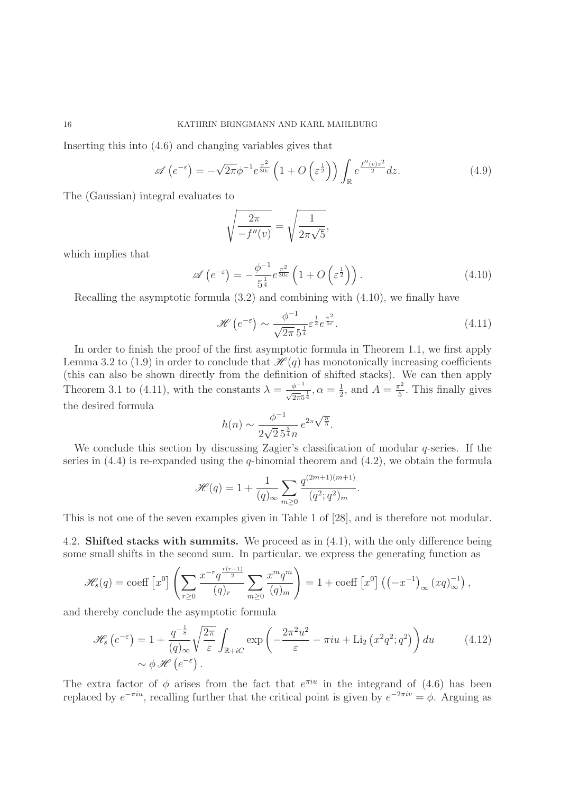#### 16 KATHRIN BRINGMANN AND KARL MAHLBURG

Inserting this into (4.6) and changing variables gives that

$$
\mathscr{A}\left(e^{-\varepsilon}\right) = -\sqrt{2\pi}\phi^{-1}e^{\frac{\pi^2}{30\varepsilon}}\left(1 + O\left(\varepsilon^{\frac{1}{2}}\right)\right)\int_{\mathbb{R}} e^{\frac{f''(v)z^2}{2}}dz.
$$
 (4.9)

The (Gaussian) integral evaluates to

$$
\sqrt{\frac{2\pi}{-f''(v)}} = \sqrt{\frac{1}{2\pi\sqrt{5}}},
$$

which implies that

$$
\mathscr{A}\left(e^{-\varepsilon}\right) = -\frac{\phi^{-1}}{5^{\frac{1}{4}}}e^{\frac{\pi^2}{30\varepsilon}}\left(1 + O\left(\varepsilon^{\frac{1}{2}}\right)\right). \tag{4.10}
$$

Recalling the asymptotic formula (3.2) and combining with (4.10), we finally have

$$
\mathcal{H}\left(e^{-\varepsilon}\right) \sim \frac{\phi^{-1}}{\sqrt{2\pi}\,5^{\frac{1}{4}}}\varepsilon^{\frac{1}{2}}e^{\frac{\pi^2}{5\varepsilon}}.\tag{4.11}
$$

In order to finish the proof of the first asymptotic formula in Theorem 1.1, we first apply Lemma 3.2 to (1.9) in order to conclude that  $\mathcal{H}(q)$  has monotonically increasing coefficients (this can also be shown directly from the definition of shifted stacks). We can then apply Theorem 3.1 to (4.11), with the constants  $\lambda = \frac{\phi^{-1}}{\sqrt{2\pi}5^{\frac{1}{4}}}, \alpha = \frac{1}{2}$ , and  $A = \frac{\pi^2}{5}$ . This finally gives the desired formula the desired formula

$$
h(n) \sim \frac{\phi^{-1}}{2\sqrt{2}\,5^{\frac{3}{4}}n} \, e^{2\pi\sqrt{\frac{n}{5}}}.
$$

We conclude this section by discussing Zagier's classification of modular  $q$ -series. If the series in  $(4.4)$  is re-expanded using the q-binomial theorem and  $(4.2)$ , we obtain the formula

$$
\mathcal{H}(q) = 1 + \frac{1}{(q)_{\infty}} \sum_{m \ge 0} \frac{q^{(2m+1)(m+1)}}{(q^2; q^2)_m}.
$$

This is not one of the seven examples given in Table 1 of [28], and is therefore not modular.

4.2. **Shifted stacks with summits.** We proceed as in (4.1), with the only difference being some small shifts in the second sum. In particular, we express the generating function as

$$
\mathscr{H}_s(q) = \text{coeff}\left[x^0\right] \left(\sum_{r\geq 0} \frac{x^{-r} q^{\frac{r(r-1)}{2}}}{(q)_r} \sum_{m\geq 0} \frac{x^m q^m}{(q)_m}\right) = 1 + \text{coeff}\left[x^0\right] \left(\left(-x^{-1}\right)_{\infty} (xq)_{\infty}^{-1}\right),
$$

and thereby conclude the asymptotic formula

$$
\mathcal{H}_s \left( e^{-\varepsilon} \right) = 1 + \frac{q^{-\frac{1}{8}}}{(q)_{\infty}} \sqrt{\frac{2\pi}{\varepsilon}} \int_{\mathbb{R}^+ iC} \exp \left( -\frac{2\pi^2 u^2}{\varepsilon} - \pi i u + \text{Li}_2 \left( x^2 q^2; q^2 \right) \right) du \tag{4.12}
$$

$$
\sim \phi \mathcal{H} \left( e^{-\varepsilon} \right).
$$

The extra factor of  $\phi$  arises from the fact that  $e^{\pi i u}$  in the integrand of (4.6) has been replaced by  $e^{-\pi i u}$ , recalling further that the critical point is given by  $e^{-2\pi i v} = \phi$ . Arguing as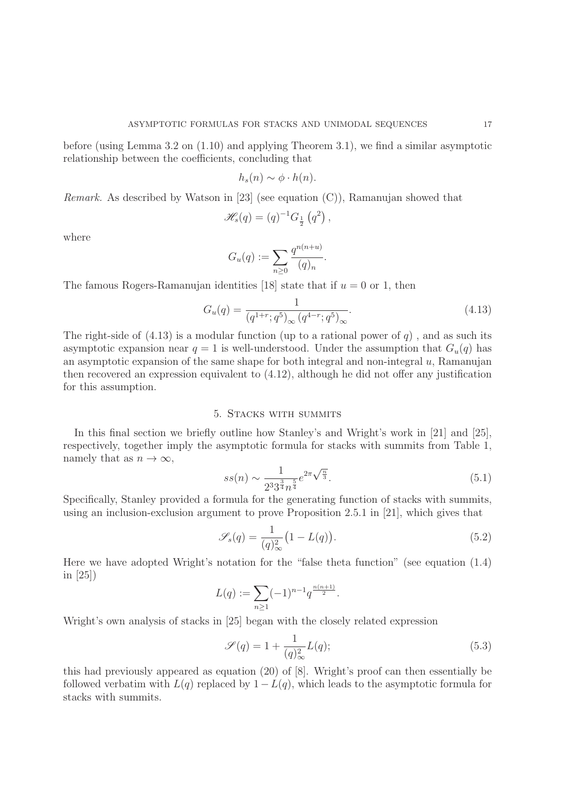before (using Lemma 3.2 on (1.10) and applying Theorem 3.1), we find a similar asymptotic relationship between the coefficients, concluding that

$$
h_s(n) \sim \phi \cdot h(n).
$$

*Remark.* As described by Watson in [23] (see equation  $(C)$ ), Ramanujan showed that

$$
\mathscr{H}_s(q) = (q)^{-1} G_{\frac{1}{2}}(q^2) ,
$$

where

$$
G_u(q) := \sum_{n \ge 0} \frac{q^{n(n+u)}}{(q)_n}.
$$

The famous Rogers-Ramanujan identities [18] state that if  $u = 0$  or 1, then

$$
G_u(q) = \frac{1}{(q^{1+r}; q^5)_{\infty} (q^{4-r}; q^5)_{\infty}}.
$$
\n(4.13)

The right-side of  $(4.13)$  is a modular function (up to a rational power of q), and as such its asymptotic expansion near  $q = 1$  is well-understood. Under the assumption that  $G_u(q)$  has an asymptotic expansion of the same shape for both integral and non-integral  $u$ , Ramanujan then recovered an expression equivalent to (4.12), although he did not offer any justification for this assumption.

### 5. Stacks with summits

In this final section we briefly outline how Stanley's and Wright's work in [21] and [25], respectively, together imply the asymptotic formula for stacks with summits from Table 1, namely that as  $n \to \infty$ ,

$$
ss(n) \sim \frac{1}{2^3 3^{\frac{3}{4}} n^{\frac{5}{4}}} e^{2\pi \sqrt{\frac{n}{3}}}.
$$
\n(5.1)

Specifically, Stanley provided a formula for the generating function of stacks with summits, using an inclusion-exclusion argument to prove Proposition 2.5.1 in [21], which gives that

$$
\mathscr{S}_s(q) = \frac{1}{(q)_{\infty}^2} \left(1 - L(q)\right). \tag{5.2}
$$

Here we have adopted Wright's notation for the "false theta function" (see equation (1.4) in [25])

$$
L(q) := \sum_{n\geq 1} (-1)^{n-1} q^{\frac{n(n+1)}{2}}.
$$

Wright's own analysis of stacks in [25] began with the closely related expression

$$
\mathscr{S}(q) = 1 + \frac{1}{(q)_{\infty}^2} L(q); \tag{5.3}
$$

this had previously appeared as equation (20) of [8]. Wright's proof can then essentially be followed verbatim with  $L(q)$  replaced by  $1-L(q)$ , which leads to the asymptotic formula for stacks with summits.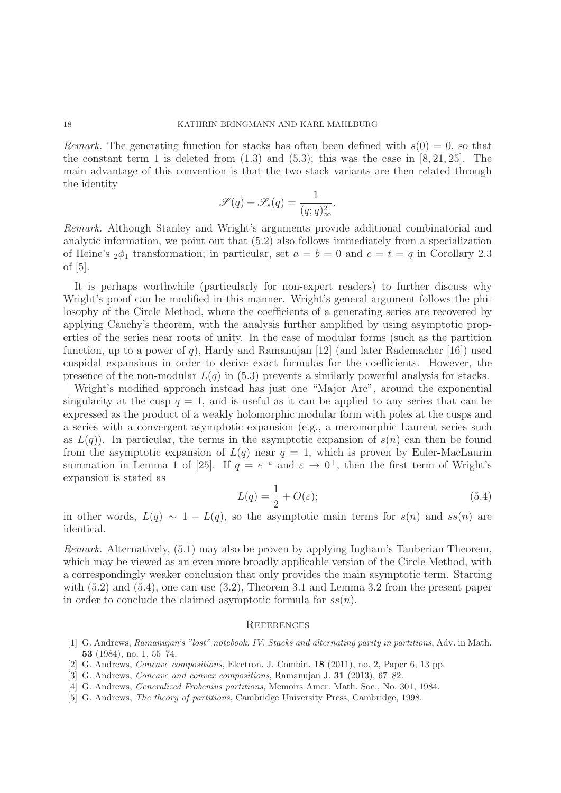#### 18 KATHRIN BRINGMANN AND KARL MAHLBURG

Remark. The generating function for stacks has often been defined with  $s(0) = 0$ , so that the constant term 1 is deleted from  $(1.3)$  and  $(5.3)$ ; this was the case in  $[8, 21, 25]$ . The main advantage of this convention is that the two stack variants are then related through the identity

$$
\mathscr{S}(q) + \mathscr{S}_s(q) = \frac{1}{(q;q)^2_{\infty}}.
$$

Remark. Although Stanley and Wright's arguments provide additional combinatorial and analytic information, we point out that (5.2) also follows immediately from a specialization of Heine's  $_2\phi_1$  transformation; in particular, set  $a = b = 0$  and  $c = t = q$  in Corollary 2.3 of  $|5|$ .

It is perhaps worthwhile (particularly for non-expert readers) to further discuss why Wright's proof can be modified in this manner. Wright's general argument follows the philosophy of the Circle Method, where the coefficients of a generating series are recovered by applying Cauchy's theorem, with the analysis further amplified by using asymptotic properties of the series near roots of unity. In the case of modular forms (such as the partition function, up to a power of q), Hardy and Ramanujan [12] (and later Rademacher [16]) used cuspidal expansions in order to derive exact formulas for the coefficients. However, the presence of the non-modular  $L(q)$  in (5.3) prevents a similarly powerful analysis for stacks.

Wright's modified approach instead has just one "Major Arc", around the exponential singularity at the cusp  $q = 1$ , and is useful as it can be applied to any series that can be expressed as the product of a weakly holomorphic modular form with poles at the cusps and a series with a convergent asymptotic expansion (e.g., a meromorphic Laurent series such as  $L(q)$ ). In particular, the terms in the asymptotic expansion of  $s(n)$  can then be found from the asymptotic expansion of  $L(q)$  near  $q = 1$ , which is proven by Euler-MacLaurin summation in Lemma 1 of [25]. If  $q = e^{-\varepsilon}$  and  $\varepsilon \to 0^+$ , then the first term of Wright's expansion is stated as

$$
L(q) = \frac{1}{2} + O(\varepsilon); \tag{5.4}
$$

in other words,  $L(q) \sim 1 - L(q)$ , so the asymptotic main terms for  $s(n)$  and  $ss(n)$  are identical.

Remark. Alternatively, (5.1) may also be proven by applying Ingham's Tauberian Theorem, which may be viewed as an even more broadly applicable version of the Circle Method, with a correspondingly weaker conclusion that only provides the main asymptotic term. Starting with  $(5.2)$  and  $(5.4)$ , one can use  $(3.2)$ , Theorem 3.1 and Lemma 3.2 from the present paper in order to conclude the claimed asymptotic formula for  $ss(n)$ .

## **REFERENCES**

- [1] G. Andrews, Ramanujan's "lost" notebook. IV. Stacks and alternating parity in partitions, Adv. in Math. **53** (1984), no. 1, 55–74.
- [2] G. Andrews, Concave compositions, Electron. J. Combin. **18** (2011), no. 2, Paper 6, 13 pp.
- [3] G. Andrews, Concave and convex compositions, Ramanujan J. **31** (2013), 67–82.
- [4] G. Andrews, Generalized Frobenius partitions, Memoirs Amer. Math. Soc., No. 301, 1984.
- [5] G. Andrews, The theory of partitions, Cambridge University Press, Cambridge, 1998.